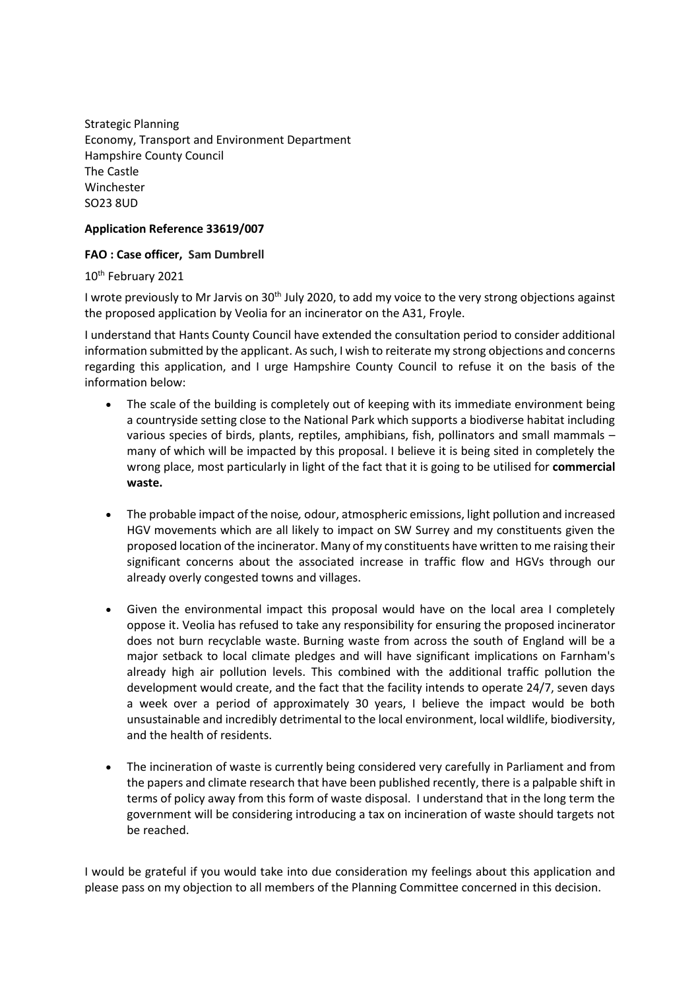Strategic Planning Economy, Transport and Environment Department Hampshire County Council The Castle Winchester SO23 8UD

## **Application Reference 33619/007**

## **FAO : Case officer, Sam Dumbrell**

10th February 2021

I wrote previously to Mr Jarvis on 30<sup>th</sup> July 2020, to add my voice to the very strong objections against the proposed application by Veolia for an incinerator on the A31, Froyle.

I understand that Hants County Council have extended the consultation period to consider additional information submitted by the applicant. As such, I wish to reiterate my strong objections and concerns regarding this application, and I urge Hampshire County Council to refuse it on the basis of the information below:

- The scale of the building is completely out of keeping with its immediate environment being a countryside setting close to the National Park which supports a biodiverse habitat including various species of birds, plants, reptiles, amphibians, fish, pollinators and small mammals – many of which will be impacted by this proposal. I believe it is being sited in completely the wrong place, most particularly in light of the fact that it is going to be utilised for **commercial waste.**
- The probable impact of the noise*,* odour, atmospheric emissions, light pollution and increased HGV movements which are all likely to impact on SW Surrey and my constituents given the proposed location of the incinerator. Many of my constituents have written to me raising their significant concerns about the associated increase in traffic flow and HGVs through our already overly congested towns and villages.
- Given the environmental impact this proposal would have on the local area I completely oppose it. Veolia has refused to take any responsibility for ensuring the proposed incinerator does not burn recyclable waste. Burning waste from across the south of England will be a major setback to local climate pledges and will have significant implications on Farnham's already high air pollution levels. This combined with the additional traffic pollution the development would create, and the fact that the facility intends to operate 24/7, seven days a week over a period of approximately 30 years, I believe the impact would be both unsustainable and incredibly detrimental to the local environment, local wildlife, biodiversity, and the health of residents.
- The incineration of waste is currently being considered very carefully in Parliament and from the papers and climate research that have been published recently, there is a palpable shift in terms of policy away from this form of waste disposal. I understand that in the long term the government will be considering introducing a tax on incineration of waste should targets not be reached.

I would be grateful if you would take into due consideration my feelings about this application and please pass on my objection to all members of the Planning Committee concerned in this decision.